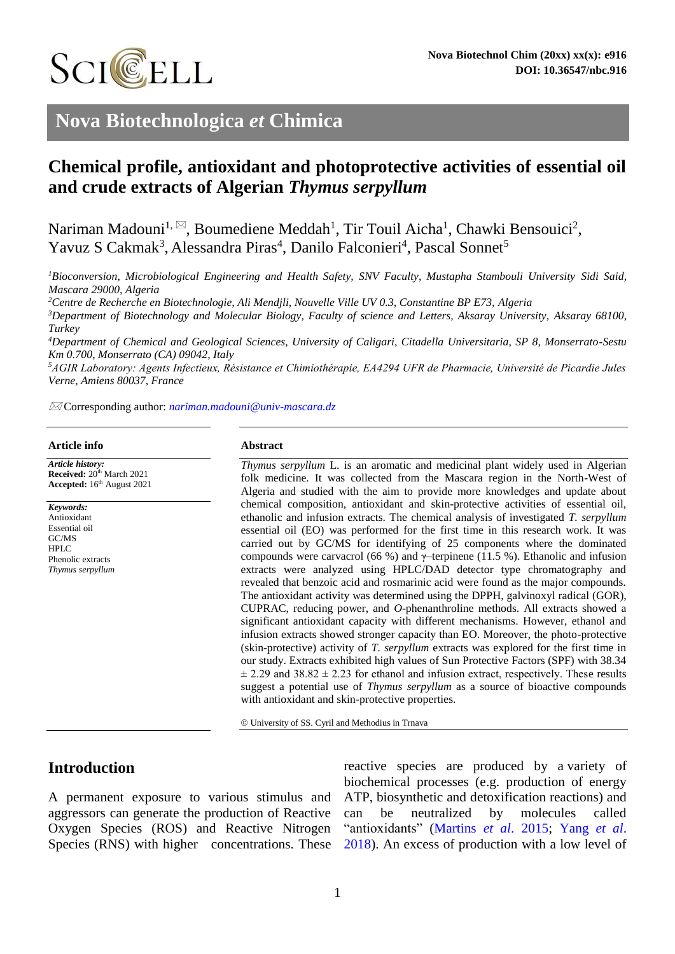

# **Nova Biotechnologica** *et* **Chimica**

# **Chemical profile, antioxidant and photoprotective activities of essential oil and crude extracts of Algerian** *Thymus serpyllum*

Nariman Madouni<sup>1,  $\boxtimes$ </sup>, Boumediene Meddah<sup>1</sup>, Tir Touil Aicha<sup>1</sup>, Chawki Bensouici<sup>2</sup>, Yavuz S Cakmak<sup>3</sup>, Alessandra Piras<sup>4</sup>, Danilo Falconieri<sup>4</sup>, Pascal Sonnet<sup>5</sup>

*<sup>1</sup>Bioconversion, Microbiological Engineering and Health Safety, SNV Faculty, Mustapha Stambouli University Sidi Said, Mascara 29000, Algeria*

*<sup>2</sup>Centre de Recherche en Biotechnologie, Ali Mendjli, Nouvelle Ville UV 0.3, Constantine BP E73, Algeria*

*<sup>3</sup>Department of Biotechnology and Molecular Biology, Faculty of science and Letters, Aksaray University, Aksaray 68100, Turkey*

*<sup>4</sup>Department of Chemical and Geological Sciences, University of Caligari, Citadella Universitaria, SP 8, Monserrato-Sestu Km 0.700, Monserrato (CA) 09042, Italy*

*<sup>5</sup>AGIR Laboratory: Agents Infectieux, Résistance et Chimiothérapie, EA4294 UFR de Pharmacie, Université de Picardie Jules Verne, Amiens 80037, France*

Corresponding author: *[nariman.madouni@univ-mascara.dz](mailto:nariman.madouni@univ-mascara.dz)*

#### **Article info**

*Article history:* **Received:** 20<sup>th</sup> March 2021 **Accepted:** 16th August 2021

*Keywords:* Antioxidant Essential oil GC/MS HPLC Phenolic extracts *Thymus serpyllum*

#### **Abstract**

*Thymus serpyllum* L. is an aromatic and medicinal plant widely used in Algerian folk medicine. It was collected from the Mascara region in the North-West of Algeria and studied with the aim to provide more knowledges and update about chemical composition, antioxidant and skin-protective activities of essential oil, ethanolic and infusion extracts. The chemical analysis of investigated *T. serpyllum*  essential oil (EO) was performed for the first time in this research work. It was carried out by GC/MS for identifying of 25 components where the dominated compounds were carvacrol (66 %) and γ–terpinene (11.5 %). Ethanolic and infusion extracts were analyzed using HPLC/DAD detector type chromatography and revealed that benzoic acid and rosmarinic acid were found as the major compounds. The antioxidant activity was determined using the DPPH, galvinoxyl radical (GOR), CUPRAC, reducing power, and *O*-phenanthroline methods. All extracts showed a significant antioxidant capacity with different mechanisms. However, ethanol and infusion extracts showed stronger capacity than EO. Moreover, the photo-protective (skin-protective) activity of *T. serpyllum* extracts was explored for the first time in our study. Extracts exhibited high values of Sun Protective Factors (SPF) with 38.34  $\pm$  2.29 and 38.82  $\pm$  2.23 for ethanol and infusion extract, respectively. These results suggest a potential use of *Thymus serpyllum* as a source of bioactive compounds with antioxidant and skin-protective properties.

University of SS. Cyril and Methodius in Trnava

# **Introduction**

A permanent exposure to various stimulus and aggressors can generate the production of Reactive Oxygen Species (ROS) and Reactive Nitrogen Species (RNS) with higher concentrations. These

reactive species are produced by a variety of biochemical processes (e.g. production of energy ATP, biosynthetic and detoxification reactions) and can be neutralized by molecules called "antioxidants" [\(Martins](#page-8-0) *et al*. 2015; [Yang](#page-9-0) *et al*. [2018\)](#page-9-0). An excess of production with a low level of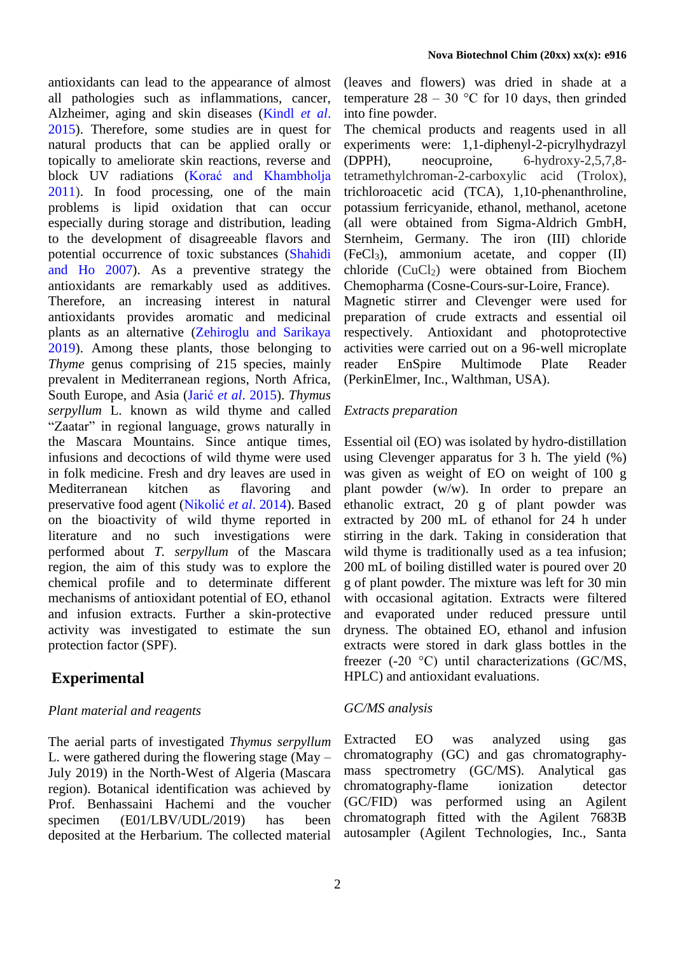antioxidants can lead to the appearance of almost all pathologies such as inflammations, cancer, Alzheimer, aging and skin diseases [\(Kindl](#page-8-1) *et al*. [2015\)](#page-8-1). Therefore, some studies are in quest for natural products that can be applied orally or topically to ameliorate skin reactions, reverse and block UV radiations [\(Korać and Khambholja](#page-8-2) [2011\)](#page-8-2). In food processing, one of the main problems is lipid oxidation that can occur especially during storage and distribution, leading to the development of disagreeable flavors and potential occurrence of toxic substances [\(Shahidi](#page-9-1)  [and Ho](#page-9-1) [2007\)](#page-9-1). As a preventive strategy the antioxidants are remarkably used as additives. Therefore, an increasing interest in natural antioxidants provides aromatic and medicinal plants as an alternative [\(Zehiroglu and Sarikaya](#page-9-2)  [2019\)](#page-9-2). Among these plants, those belonging to *Thyme* genus comprising of 215 species, mainly prevalent in Mediterranean regions, North Africa, South Europe, and Asia (Jarić *et al*[. 2015\)](#page-8-3). *Thymus serpyllum* L. known as wild thyme and called "Zaatar" in regional language, grows naturally in the Mascara Mountains. Since antique times, infusions and decoctions of wild thyme were used in folk medicine. Fresh and dry leaves are used in Mediterranean kitchen as flavoring and preservative food agent [\(Nikolić](#page-8-4) *et al*. 2014). Based on the bioactivity of wild thyme reported in literature and no such investigations were performed about *T. serpyllum* of the Mascara region, the aim of this study was to explore the chemical profile and to determinate different mechanisms of antioxidant potential of EO, ethanol and infusion extracts. Further a skin-protective activity was investigated to estimate the sun protection factor (SPF).

# **Experimental**

# *Plant material and reagents*

The aerial parts of investigated *Thymus serpyllum* L. were gathered during the flowering stage (May – July 2019) in the North-West of Algeria (Mascara region). Botanical identification was achieved by Prof. Benhassaini Hachemi and the voucher specimen (E01/LBV/UDL/2019) has been deposited at the Herbarium. The collected material

(leaves and flowers) was dried in shade at a temperature  $28 - 30$  °C for 10 days, then grinded into fine powder.

The chemical products and reagents used in all experiments were: 1,1-diphenyl-2-picrylhydrazyl (DPPH), neocuproine, 6-hydroxy-2,5,7,8 tetramethylchroman-2-carboxylic acid (Trolox), trichloroacetic acid (TCA), 1,10-phenanthroline, potassium ferricyanide, ethanol, methanol, acetone (all were obtained from Sigma-Aldrich GmbH, Sternheim, Germany. The iron (III) chloride  $(FeCl<sub>3</sub>)$ , ammonium acetate, and copper  $(II)$ chloride  $(CuCl<sub>2</sub>)$  were obtained from Biochem Chemopharma (Cosne-Cours-sur-Loire, France). Magnetic stirrer and Clevenger were used for preparation of crude extracts and essential oil respectively. Antioxidant and photoprotective activities were carried out on a 96-well microplate reader EnSpire Multimode Plate Reader (PerkinElmer, Inc., Walthman, USA).

# *Extracts preparation*

Essential oil (EO) was isolated by hydro-distillation using Clevenger apparatus for 3 h. The yield (%) was given as weight of EO on weight of 100 g plant powder (w/w). In order to prepare an ethanolic extract, 20 g of plant powder was extracted by 200 mL of ethanol for 24 h under stirring in the dark. Taking in consideration that wild thyme is traditionally used as a tea infusion; 200 mL of boiling distilled water is poured over 20 g of plant powder. The mixture was left for 30 min with occasional agitation. Extracts were filtered and evaporated under reduced pressure until dryness. The obtained EO, ethanol and infusion extracts were stored in dark glass bottles in the freezer (-20 °C) until characterizations (GC/MS, HPLC) and antioxidant evaluations.

# *GC/MS analysis*

Extracted EO was analyzed using gas chromatography (GC) and gas chromatographymass spectrometry (GC/MS). Analytical gas chromatography-flame ionization detector (GC/FID) was performed using an Agilent chromatograph fitted with the Agilent 7683B autosampler (Agilent Technologies, Inc., Santa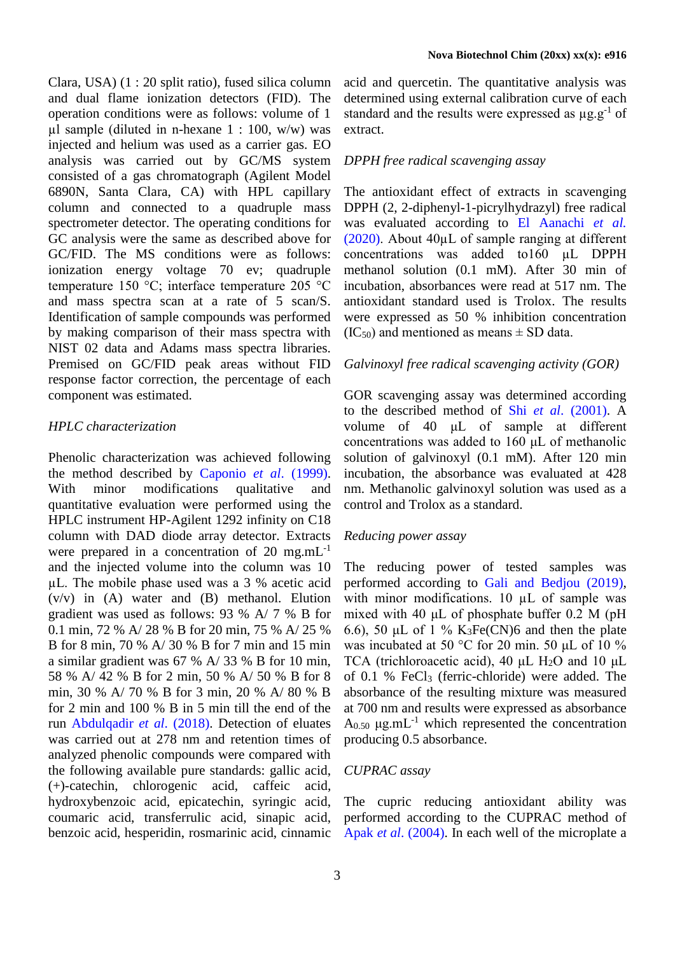Clara, USA) (1 : 20 split ratio), fused silica column and dual flame ionization detectors (FID). The operation conditions were as follows: volume of 1  $\mu$ l sample (diluted in n-hexane 1 : 100, w/w) was injected and helium was used as a carrier gas. EO analysis was carried out by GC/MS system consisted of a gas chromatograph (Agilent Model 6890N, Santa Clara, CA) with HPL capillary column and connected to a quadruple mass spectrometer detector. The operating conditions for GC analysis were the same as described above for GC/FID. The MS conditions were as follows: ionization energy voltage 70 ev; quadruple temperature 150 °C; interface temperature 205 °C and mass spectra scan at a rate of 5 scan/S. Identification of sample compounds was performed by making comparison of their mass spectra with NIST 02 data and Adams mass spectra libraries. Premised on GC/FID peak areas without FID response factor correction, the percentage of each component was estimated.

#### *HPLC characterization*

Phenolic characterization was achieved following the method described by [Caponio](#page-8-5) *et al*. (1999). With minor modifications qualitative and quantitative evaluation were performed using the HPLC instrument HP-Agilent 1292 infinity on C18 column with DAD diode array detector. Extracts were prepared in a concentration of  $20 \text{ mg.mL}^{-1}$ and the injected volume into the column was 10 µL. The mobile phase used was a 3 % acetic acid (v/v) in (A) water and (B) methanol. Elution gradient was used as follows: 93 % A/ 7 % B for 0.1 min, 72 % A/ 28 % B for 20 min, 75 % A/ 25 % B for 8 min, 70 % A/ 30 % B for 7 min and 15 min a similar gradient was 67 % A/ 33 % B for 10 min, 58 % A/ 42 % B for 2 min, 50 % A/ 50 % B for 8 min, 30 % A/ 70 % B for 3 min, 20 % A/ 80 % B for 2 min and 100 % B in 5 min till the end of the run [Abdulqadir](#page-7-0) *et al*. (2018). Detection of eluates was carried out at 278 nm and retention times of analyzed phenolic compounds were compared with the following available pure standards: gallic acid, (+)-catechin, chlorogenic acid, caffeic acid, hydroxybenzoic acid, epicatechin, syringic acid, coumaric acid, transferrulic acid, sinapic acid, benzoic acid, hesperidin, rosmarinic acid, cinnamic acid and quercetin. The quantitative analysis was determined using external calibration curve of each standard and the results were expressed as  $\mu$ g.g<sup>-1</sup> of extract.

#### *DPPH free radical scavenging assay*

The antioxidant effect of extracts in scavenging DPPH (2, 2-diphenyl-1-picrylhydrazyl) free radical was evaluated according to El [Aanachi](#page-8-6) *et al.* [\(2020\).](#page-8-6) About 40µL of sample ranging at different concentrations was added to160 µL DPPH methanol solution (0.1 mM). After 30 min of incubation, absorbances were read at 517 nm. The antioxidant standard used is Trolox. The results were expressed as 50 % inhibition concentration  $(IC_{50})$  and mentioned as means  $\pm$  SD data.

#### *Galvinoxyl free radical scavenging activity (GOR)*

GOR scavenging assay was determined according to the described method of Shi *et al*[. \(2001\).](#page-9-3) A volume of 40 μL of sample at different concentrations was added to 160 μL of methanolic solution of galvinoxyl (0.1 mM). After 120 min incubation, the absorbance was evaluated at 428 nm. Methanolic galvinoxyl solution was used as a control and Trolox as a standard.

#### *Reducing power assay*

The reducing power of tested samples was performed according to [Gali and Bedjou \(2019\),](#page-8-7) with minor modifications. 10 µL of sample was mixed with 40 μL of phosphate buffer 0.2 M (pH 6.6), 50  $\mu$ L of 1 % K<sub>3</sub>Fe(CN)6 and then the plate was incubated at 50 °C for 20 min. 50 μL of 10 % TCA (trichloroacetic acid), 40  $\mu$ L H<sub>2</sub>O and 10  $\mu$ L of 0.1 % FeCl<sup>3</sup> (ferric-chloride) were added. The absorbance of the resulting mixture was measured at 700 nm and results were expressed as absorbance  $A_{0.50}$   $\mu$ g.mL<sup>-1</sup> which represented the concentration producing 0.5 absorbance.

#### *CUPRAC assay*

The cupric reducing antioxidant ability was performed according to the CUPRAC method of Apak *et al*[. \(2004\).](#page-7-1) In each well of the microplate a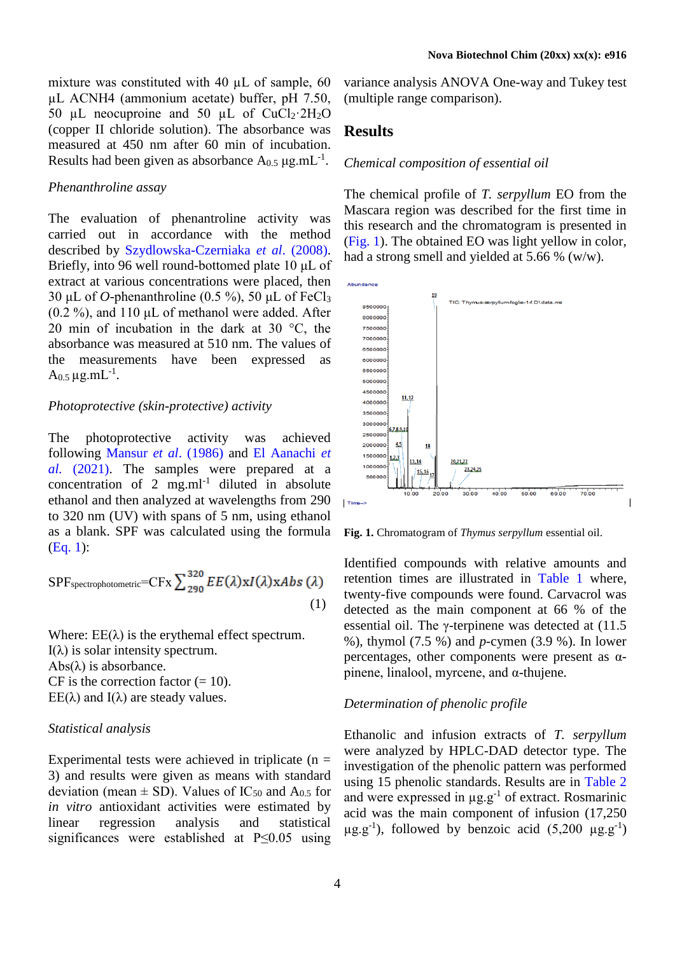mixture was constituted with 40 µL of sample, 60 µL ACNH4 (ammonium acetate) buffer, pH 7.50, 50 µL neocuproine and 50 µL of  $CuCl<sub>2</sub>·2H<sub>2</sub>O$ (copper II chloride solution). The absorbance was measured at 450 nm after 60 min of incubation. Results had been given as absorbance  $A_{0.5}$   $\mu$ g.mL<sup>-1</sup>.

#### *Phenanthroline assay*

The evaluation of phenantroline activity was carried out in accordance with the method described by [Szydlowska-Czerniaka](#page-9-4) *et al*. (2008). Briefly, into 96 well round-bottomed plate 10 μL of extract at various concentrations were placed, then 30 μL of *O*-phenanthroline (0.5 %), 50 μL of FeCl<sup>3</sup>  $(0.2 \%)$ , and 110 µL of methanol were added. After 20 min of incubation in the dark at 30 °C, the absorbance was measured at 510 nm. The values of the measurements have been expressed as A<sub>0.5</sub> µg.mL<sup>-1</sup>.

#### *Photoprotective (skin-protective) activity*

The photoprotective activity was achieved following [Mansur](#page-8-8) *et al*. (1986) and [El Aanachi](#page-8-9) *et al.* [\(2021\).](#page-8-9) The samples were prepared at a concentration of 2 mg.ml<sup>-1</sup> diluted in absolute ethanol and then analyzed at wavelengths from 290 to 320 nm (UV) with spans of 5 nm, using ethanol as a blank. SPF was calculated using the formula [\(Eq. 1\)](#page-3-0):

<span id="page-3-0"></span>
$$
SPF_{\text{spectrophotometric}} = CFx \sum_{290}^{320} EE(\lambda) x I(\lambda) x Abs(\lambda)
$$
\n(1)

Where:  $EE(\lambda)$  is the erythemal effect spectrum. I(λ) is solar intensity spectrum. Abs $(λ)$  is absorbance. CF is the correction factor  $(= 10)$ . EE( $\lambda$ ) and I( $\lambda$ ) are steady values.

### *Statistical analysis*

Experimental tests were achieved in triplicate  $(n =$ 3) and results were given as means with standard deviation (mean  $\pm$  SD). Values of IC<sub>50</sub> and A<sub>0.5</sub> for *in vitro* antioxidant activities were estimated by linear regression analysis and statistical significances were established at P≤0.05 using variance analysis ANOVA One-way and Tukey test (multiple range comparison).

### **Results**

#### *Chemical composition of essential oil*

The chemical profile of *T. serpyllum* EO from the Mascara region was described for the first time in this research and the chromatogram is presented in [\(Fig. 1\)](#page-3-1). The obtained EO was light yellow in color, had a strong smell and yielded at 5.66 % (w/w).



<span id="page-3-1"></span>**Fig. 1.** Chromatogram of *Thymus serpyllum* essential oil.

Identified compounds with relative amounts and retention times are illustrated in [Table 1](#page-4-0) where, twenty-five compounds were found. Carvacrol was detected as the main component at 66 % of the essential oil. The γ-terpinene was detected at (11.5 %), thymol (7.5 %) and *p*-cymen (3.9 %). In lower percentages, other components were present as αpinene, linalool, myrcene, and α-thujene.

#### *Determination of phenolic profile*

Ethanolic and infusion extracts of *T. serpyllum* were analyzed by HPLC-DAD detector type. The investigation of the phenolic pattern was performed using 15 phenolic standards. Results are in [Table 2](#page-5-0) and were expressed in  $\mu$ g.g<sup>-1</sup> of extract. Rosmarinic acid was the main component of infusion (17,250  $\mu$ g.g<sup>-1</sup>), followed by benzoic acid (5,200  $\mu$ g.g<sup>-1</sup>)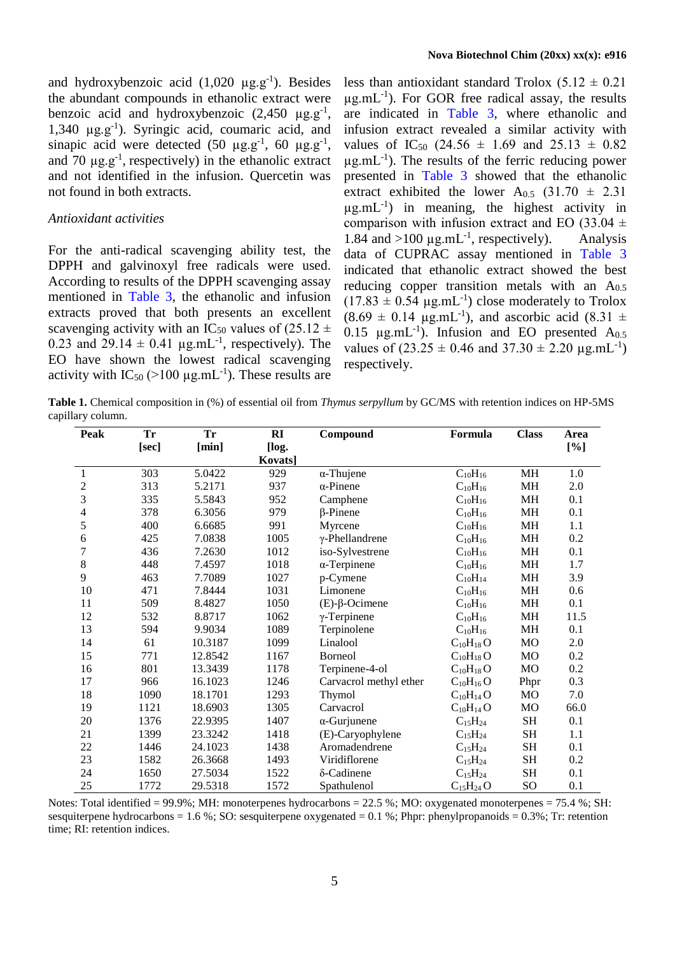and hydroxybenzoic acid  $(1,020 \mu g.g^{-1})$ . Besides the abundant compounds in ethanolic extract were benzoic acid and hydroxybenzoic  $(2,450 \mu g.g^{-1})$ , 1,340 µg.g-1 ). Syringic acid, coumaric acid, and sinapic acid were detected  $(50 \mu g.g^{-1}, 60 \mu g.g^{-1},$ and 70  $\mu$ g.g<sup>-1</sup>, respectively) in the ethanolic extract and not identified in the infusion. Quercetin was not found in both extracts.

#### *Antioxidant activities*

For the anti-radical scavenging ability test, the DPPH and galvinoxyl free radicals were used. According to results of the DPPH scavenging assay mentioned in [Table 3,](#page-5-1) the ethanolic and infusion extracts proved that both presents an excellent scavenging activity with an IC<sub>50</sub> values of (25.12  $\pm$ 0.23 and 29.14  $\pm$  0.41 µg.mL<sup>-1</sup>, respectively). The EO have shown the lowest radical scavenging activity with  $IC_{50}$  (>100  $\mu$ g.mL<sup>-1</sup>). These results are

less than antioxidant standard Trolox  $(5.12 \pm 0.21)$  $\mu$ g.mL<sup>-1</sup>). For GOR free radical assay, the results are indicated in [Table 3,](#page-5-1) where ethanolic and infusion extract revealed a similar activity with values of IC<sub>50</sub> (24.56  $\pm$  1.69 and 25.13  $\pm$  0.82  $\mu$ g.mL<sup>-1</sup>). The results of the ferric reducing power presented in [Table 3](#page-5-1) showed that the ethanolic extract exhibited the lower  $A_{0.5}$  (31.70  $\pm$  2.31)  $\mu$ g.mL<sup>-1</sup>) in meaning, the highest activity in comparison with infusion extract and EO (33.04  $\pm$ 1.84 and  $>100 \mu g.mL^{-1}$ , respectively). Analysis data of CUPRAC assay mentioned in [Table 3](#page-5-1) indicated that ethanolic extract showed the best reducing copper transition metals with an  $A_{0.5}$  $(17.83 \pm 0.54 \text{ µg.mL}^{-1})$  close moderately to Trolox  $(8.69 \pm 0.14 \text{ µg.mL}^{-1})$ , and ascorbic acid  $(8.31 \pm 1.01)$ 0.15  $\mu$ g.mL<sup>-1</sup>). Infusion and EO presented A<sub>0.5</sub> values of  $(23.25 \pm 0.46 \text{ and } 37.30 \pm 2.20 \text{ µg.mL}^{-1})$ respectively.

<span id="page-4-0"></span>**Table 1.** Chemical composition in (%) of essential oil from *Thymus serpyllum* by GC/MS with retention indices on HP-5MS capillary column.

| Peak                    | <b>Tr</b> | <b>Tr</b> | RI      | Compound                 | Formula         | <b>Class</b> | Area |
|-------------------------|-----------|-----------|---------|--------------------------|-----------------|--------------|------|
|                         | [sec]     | [min]     | [log.   |                          |                 |              | [%]  |
|                         |           |           | Kovats] |                          |                 |              |      |
| 1                       | 303       | 5.0422    | 929     | $\alpha$ -Thujene        | $C_{10}H_{16}$  | MH           | 1.0  |
| $\overline{\mathbf{c}}$ | 313       | 5.2171    | 937     | $\alpha$ -Pinene         | $C_{10}H_{16}$  | MH           | 2.0  |
| 3                       | 335       | 5.5843    | 952     | Camphene                 | $C_{10}H_{16}$  | MH           | 0.1  |
| $\overline{4}$          | 378       | 6.3056    | 979     | $\beta$ -Pinene          | $C_{10}H_{16}$  | MH           | 0.1  |
| 5                       | 400       | 6.6685    | 991     | Myrcene                  | $C_{10}H_{16}$  | MH           | 1.1  |
| $\epsilon$              | 425       | 7.0838    | 1005    | $\gamma$ -Phellandrene   | $C_{10}H_{16}$  | MH           | 0.2  |
| 7                       | 436       | 7.2630    | 1012    | iso-Sylvestrene          | $C_{10}H_{16}$  | MH           | 0.1  |
| $8\,$                   | 448       | 7.4597    | 1018    | $\alpha$ -Terpinene      | $C_{10}H_{16}$  | MH           | 1.7  |
| 9                       | 463       | 7.7089    | 1027    | p-Cymene                 | $C_{10}H_{14}$  | MH           | 3.9  |
| 10                      | 471       | 7.8444    | 1031    | Limonene                 | $C_{10}H_{16}$  | <b>MH</b>    | 0.6  |
| 11                      | 509       | 8.4827    | 1050    | $(E)$ - $\beta$ -Ocimene | $C_{10}H_{16}$  | MH           | 0.1  |
| 12                      | 532       | 8.8717    | 1062    | $\gamma$ -Terpinene      | $C_{10}H_{16}$  | MH           | 11.5 |
| 13                      | 594       | 9.9034    | 1089    | Terpinolene              | $C_{10}H_{16}$  | <b>MH</b>    | 0.1  |
| 14                      | 61        | 10.3187   | 1099    | Linalool                 | $C_{10}H_{18}O$ | MO           | 2.0  |
| 15                      | 771       | 12.8542   | 1167    | Borneol                  | $C_{10}H_{18}O$ | <b>MO</b>    | 0.2  |
| 16                      | 801       | 13.3439   | 1178    | Terpinene-4-ol           | $C_{10}H_{18}O$ | <b>MO</b>    | 0.2  |
| 17                      | 966       | 16.1023   | 1246    | Carvacrol methyl ether   | $C_{10}H_{16}O$ | Phpr         | 0.3  |
| 18                      | 1090      | 18.1701   | 1293    | Thymol                   | $C_{10}H_{14}O$ | MO           | 7.0  |
| 19                      | 1121      | 18.6903   | 1305    | Carvacrol                | $C_{10}H_{14}O$ | <b>MO</b>    | 66.0 |
| 20                      | 1376      | 22.9395   | 1407    | $\alpha$ -Gurjunene      | $C_{15}H_{24}$  | <b>SH</b>    | 0.1  |
| 21                      | 1399      | 23.3242   | 1418    | (E)-Caryophylene         | $C_{15}H_{24}$  | <b>SH</b>    | 1.1  |
| 22                      | 1446      | 24.1023   | 1438    | Aromadendrene            | $C_{15}H_{24}$  | <b>SH</b>    | 0.1  |
| 23                      | 1582      | 26.3668   | 1493    | Viridiflorene            | $C_{15}H_{24}$  | <b>SH</b>    | 0.2  |
| 24                      | 1650      | 27.5034   | 1522    | δ-Cadinene               | $C_{15}H_{24}$  | SH           | 0.1  |
| 25                      | 1772      | 29.5318   | 1572    | Spathulenol              | $C_{15}H_{24}O$ | SO           | 0.1  |

Notes: Total identified = 99.9%; MH: monoterpenes hydrocarbons = 22.5 %; MO: oxygenated monoterpenes = 75.4 %; SH: sesquiterpene hydrocarbons = 1.6 %; SO: sesquiterpene oxygenated =  $0.1$  %; Phpr: phenylpropanoids =  $0.3$ %; Tr: retention time; RI: retention indices.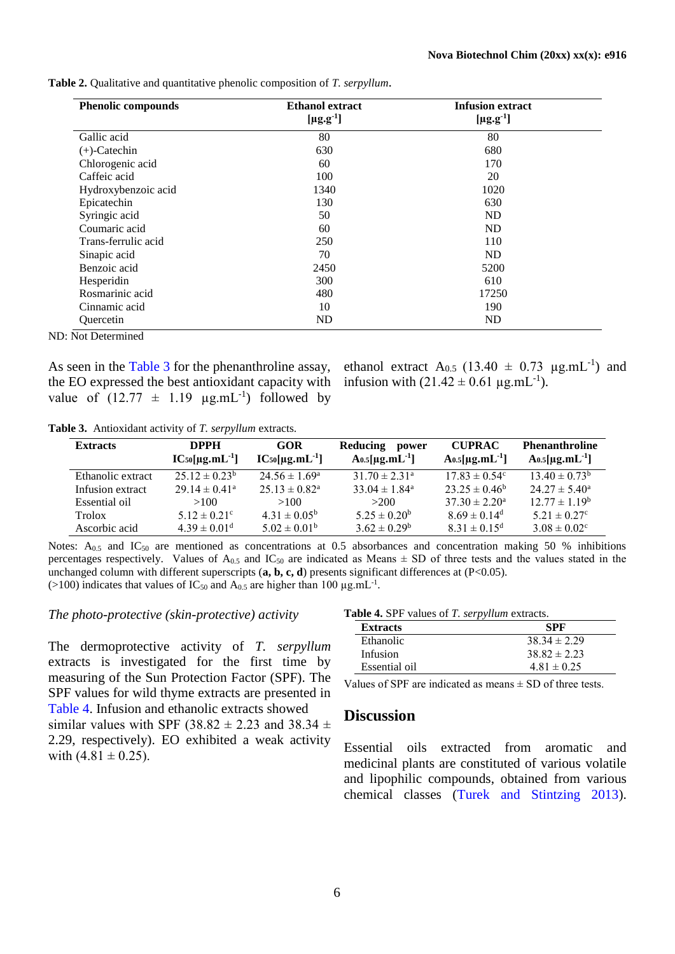| <b>Phenolic compounds</b> | <b>Ethanol</b> extract      | <b>Infusion extract</b>     |  |
|---------------------------|-----------------------------|-----------------------------|--|
|                           | [ $\mu$ g.g <sup>-1</sup> ] | [ $\mu$ g.g <sup>-1</sup> ] |  |
| Gallic acid               | 80                          | 80                          |  |
| $(+)$ -Catechin           | 630                         | 680                         |  |
| Chlorogenic acid          | 60                          | 170                         |  |
| Caffeic acid              | 100                         | 20                          |  |
| Hydroxybenzoic acid       | 1340                        | 1020                        |  |
| Epicatechin               | 130                         | 630                         |  |
| Syringic acid             | 50                          | <b>ND</b>                   |  |
| Coumaric acid             | 60                          | <b>ND</b>                   |  |
| Trans-ferrulic acid       | 250                         | 110                         |  |
| Sinapic acid              | 70                          | <b>ND</b>                   |  |
| Benzoic acid              | 2450                        | 5200                        |  |
| Hesperidin                | 300                         | 610                         |  |
| Rosmarinic acid           | 480                         | 17250                       |  |
| Cinnamic acid             | 10                          | 190                         |  |
| Ouercetin                 | <b>ND</b>                   | <b>ND</b>                   |  |

<span id="page-5-0"></span>**Table 2.** Qualitative and quantitative phenolic composition of *T. serpyllum*.

ND: Not Determined

the EO expressed the best antioxidant capacity with value of  $(12.77 \pm 1.19 \mu g.mL^{-1})$  followed by

As seen in the [Table 3](#page-5-1) for the phenanthroline assay, ethanol extract  $A_{0.5}$  (13.40  $\pm$  0.73 µg.mL<sup>-1</sup>) and infusion with  $(21.42 \pm 0.61 \,\mu g.mL^{-1})$ .

<span id="page-5-1"></span>**Table 3.** Antioxidant activity of *T. serpyllum* extracts.

| <b>Extracts</b>   | <b>DPPH</b><br>$IC_{50}[\mu g.mL^{-1}]$ | GOR<br>$IC_{50}[\mu g.mL^{-1}]$ | <b>Reducing</b><br>power<br>$A_{0.5}$ [µg.mL <sup>-1</sup> ] | <b>CUPRAC</b><br>$A_{0.5}$ [µg.mL <sup>-1</sup> ] | <b>Phenanthroline</b><br>$A_{0.5}$ [µg.mL <sup>-1</sup> ] |
|-------------------|-----------------------------------------|---------------------------------|--------------------------------------------------------------|---------------------------------------------------|-----------------------------------------------------------|
| Ethanolic extract | $25.12 \pm 0.23^{\circ}$                | $24.56 \pm 1.69^{\circ}$        | $31.70 \pm 2.31^{\circ}$                                     | $17.83 \pm 0.54^{\circ}$                          | $13.40 \pm 0.73^b$                                        |
| Infusion extract  | $29.14 \pm 0.41^{\circ}$                | $25.13 \pm 0.82^{\text{a}}$     | $33.04 \pm 1.84^{\circ}$                                     | $23.25 \pm 0.46^b$                                | $24.27 \pm 5.40^{\circ}$                                  |
| Essential oil     | >100                                    | >100                            | >200                                                         | $37.30 \pm 2.20^{\circ}$                          | $12.77 \pm 1.19^b$                                        |
| Trolox            | $5.12 \pm 0.21$ <sup>c</sup>            | $4.31 \pm 0.05^{\rm b}$         | $5.25 \pm 0.20^b$                                            | $8.69 \pm 0.14$ <sup>d</sup>                      | $5.21 \pm 0.27$ °                                         |
| Ascorbic acid     | $4.39 \pm 0.01$ <sup>d</sup>            | $5.02 \pm 0.01^{\rm b}$         | $3.62 \pm 0.29^b$                                            | $8.31 \pm 0.15^{\rm d}$                           | $3.08 \pm 0.02$ <sup>c</sup>                              |

Notes:  $A_{0.5}$  and IC<sub>50</sub> are mentioned as concentrations at 0.5 absorbances and concentration making 50 % inhibitions percentages respectively. Values of  $A_{0.5}$  and  $IC_{50}$  are indicated as Means  $\pm$  SD of three tests and the values stated in the unchanged column with different superscripts (**a**, **b**, **c**, **d**) presents significant differences at (P<0.05). (>100) indicates that values of IC<sub>50</sub> and A<sub>0.5</sub> are higher than 100  $\mu$ g.mL<sup>-1</sup>.

#### *The photo-protective (skin-protective) activity*

<span id="page-5-2"></span>The dermoprotective activity of *T. serpyllum* extracts is investigated for the first time by measuring of the Sun Protection Factor (SPF). The SPF values for wild thyme extracts are presented in [Table 4.](#page-5-2) Infusion and ethanolic extracts showed similar values with SPF (38.82  $\pm$  2.23 and 38.34  $\pm$ 2.29, respectively). EO exhibited a weak activity with  $(4.81 \pm 0.25)$ .

**Table 4.** SPF values of *T. serpyllum* extracts.

| <b>Extracts</b> | SPF              |
|-----------------|------------------|
| Ethanolic       | $38.34 \pm 2.29$ |
| <b>Infusion</b> | $38.82 \pm 2.23$ |
| Essential oil   | $4.81 \pm 0.25$  |

Values of SPF are indicated as means  $\pm$  SD of three tests.

### **Discussion**

Essential oils extracted from aromatic and medicinal plants are constituted of various volatile and lipophilic compounds, obtained from various chemical classes [\(Turek and Stintzing 2013\)](#page-9-5).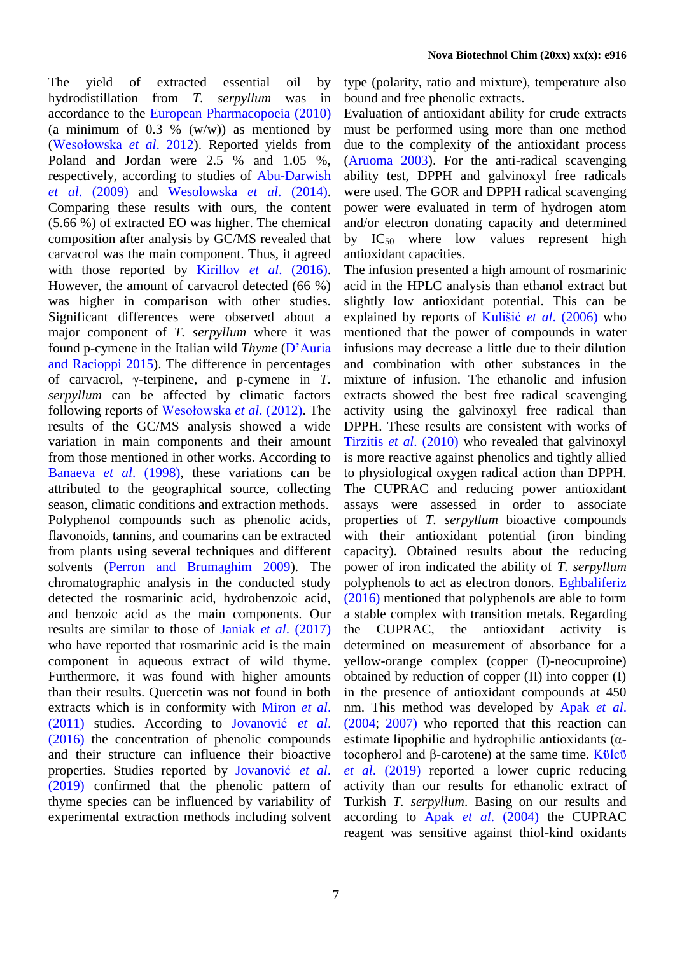The yield of extracted essential oil by hydrodistillation from *T. serpyllum* was in accordance to the [European Pharmacopoeia \(2010\)](#page-8-10) (a minimum of 0.3 %  $(w/w)$ ) as mentioned by [\(Wesołowska](#page-9-6) *et al*. [2012\)](#page-9-6). Reported yields from Poland and Jordan were 2.5 % and 1.05 %, respectively, according to studies of [Abu-Darwish](#page-7-2)  *et al*[. \(2009\)](#page-7-2) and Wesolowska *et al*. (2014). Comparing these results with ours, the content (5.66 %) of extracted EO was higher. The chemical composition after analysis by GC/MS revealed that carvacrol was the main component. Thus, it agreed with those reported by Kirillov *et al*[. \(2016\).](#page-8-11) However, the amount of carvacrol detected (66 %) was higher in comparison with other studies. Significant differences were observed about a major component of *T. serpyllum* where it was found p-cymene in the Italian wild *Thyme* [\(D'Auria](#page-8-12)  [and](#page-8-12) [Racioppi](#page-8-12) 2015). The difference in percentages of carvacrol, γ-terpinene, and p-cymene in *T. serpyllum* can be affected by climatic factors following reports of [Wesołowska](#page-9-6) *et al*. (2012). The results of the GC/MS analysis showed a wide variation in main components and their amount from those mentioned in other works. According to Banaeva *et al*[. \(1998\),](#page-8-13) these variations can be attributed to the geographical source, collecting season, climatic conditions and extraction methods. Polyphenol compounds such as phenolic acids, flavonoids, tannins, and coumarins can be extracted from plants using several techniques and different solvents [\(Perron and Brumaghim 2009\)](#page-9-7). The chromatographic analysis in the conducted study detected the rosmarinic acid, hydrobenzoic acid, and benzoic acid as the main components. Our results are similar to those of Janiak *et al*[. \(2017\)](#page-8-14) who have reported that rosmarinic acid is the main component in aqueous extract of wild thyme. Furthermore, it was found with higher amounts than their results. Quercetin was not found in both extracts which is in conformity with [Miron](#page-8-15) *et al*. [\(2011\)](#page-8-15) studies. According to [Jovanović](#page-8-16) *et al*. [\(2016\)](#page-8-16) the concentration of phenolic compounds and their structure can influence their bioactive properties. Studies reported by [Jovanović](#page-8-17) *et al*. [\(2019\)](#page-8-17) confirmed that the phenolic pattern of thyme species can be influenced by variability of experimental extraction methods including solvent

type (polarity, ratio and mixture), temperature also bound and free phenolic extracts.

Evaluation of antioxidant ability for crude extracts must be performed using more than one method due to the complexity of the antioxidant process [\(Aruoma 2003\)](#page-8-18). For the anti-radical scavenging ability test, DPPH and galvinoxyl free radicals were used. The GOR and DPPH radical scavenging power were evaluated in term of hydrogen atom and/or electron donating capacity and determined by  $IC_{50}$  where low values represent high antioxidant capacities.

The infusion presented a high amount of rosmarinic acid in the HPLC analysis than ethanol extract but slightly low antioxidant potential. This can be explained by reports of Kulišić *et al*[. \(2006\)](#page-8-19) who mentioned that the power of compounds in water infusions may decrease a little due to their dilution and combination with other substances in the mixture of infusion. The ethanolic and infusion extracts showed the best free radical scavenging activity using the galvinoxyl free radical than DPPH. These results are consistent with works of Tirzitis *et al*[. \(2010\)](#page-9-8) who revealed that galvinoxyl is more reactive against phenolics and tightly allied to physiological oxygen radical action than DPPH. The CUPRAC and reducing power antioxidant assays were assessed in order to associate properties of *T. serpyllum* bioactive compounds with their antioxidant potential (iron binding capacity). Obtained results about the reducing power of iron indicated the ability of *T. serpyllum* polyphenols to act as electron donors. [Eghbaliferiz](#page-8-20) [\(2016\)](#page-8-20) mentioned that polyphenols are able to form a stable complex with transition metals. Regarding the CUPRAC, the antioxidant activity is determined on measurement of absorbance for a yellow-orange complex (copper (I)-neocuproine) obtained by reduction of copper (II) into copper (I) in the presence of antioxidant compounds at 450 nm. This method was developed by [Apak](#page-7-1) *et al*. [\(2004;](#page-7-1) [2007\)](#page-8-21) who reported that this reaction can estimate lipophilic and hydrophilic antioxidants (αtocopherol and β-carotene) at the same time. [Kϋlcϋ](#page-8-22) *et al*[. \(2019\)](#page-8-22) reported a lower cupric reducing activity than our results for ethanolic extract of Turkish *T. serpyllum*. Basing on our results and according to Apak *et al*[. \(2004\)](#page-7-1) the CUPRAC reagent was sensitive against thiol-kind oxidants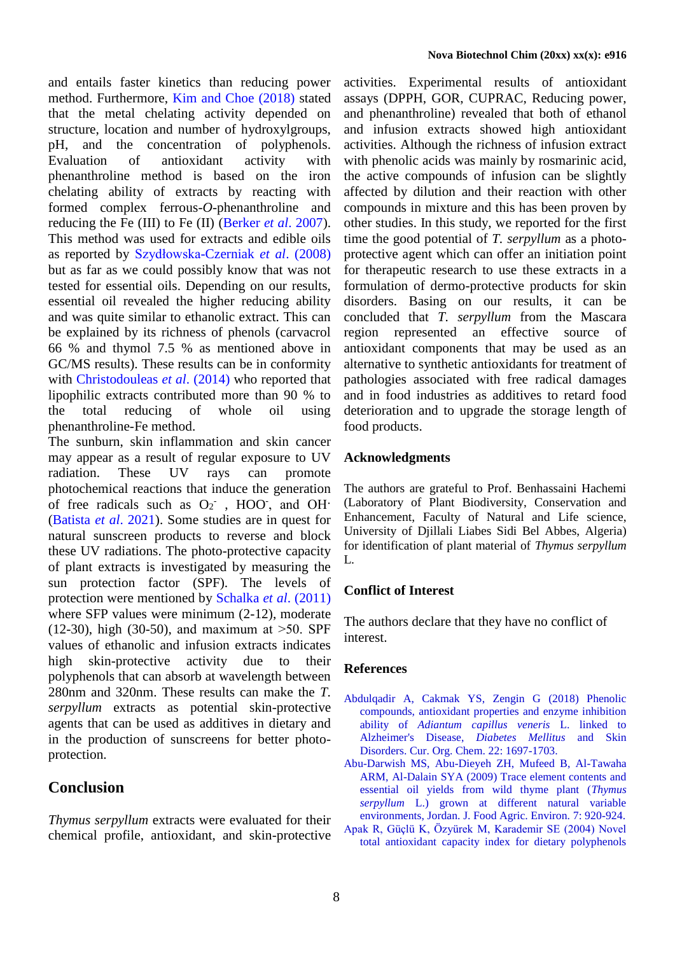and entails faster kinetics than reducing power method. Furthermore, Kim [and Choe \(2018\)](#page-8-23) stated that the metal chelating activity depended on structure, location and number of hydroxylgroups, pH, and the concentration of polyphenols. Evaluation of antioxidant activity with phenanthroline method is based on the iron chelating ability of extracts by reacting with formed complex ferrous-*O*-phenanthroline and reducing the Fe (III) to Fe (II) [\(Berker](#page-8-24) *et al*. 2007). This method was used for extracts and edible oils as reported by [Szydłowska-Czerniak](#page-9-4) *et al*. (2008) but as far as we could possibly know that was not tested for essential oils. Depending on our results, essential oil revealed the higher reducing ability and was quite similar to ethanolic extract. This can be explained by its richness of phenols (carvacrol 66 % and thymol 7.5 % as mentioned above in GC/MS results). These results can be in conformity with [Christodouleas](#page-8-5) *et al*. (2014) who reported that lipophilic extracts contributed more than 90 % to the total reducing of whole oil using phenanthroline-Fe method.

The sunburn, skin inflammation and skin cancer may appear as a result of regular exposure to UV radiation. These UV rays can promote photochemical reactions that induce the generation of free radicals such as  $O_2$ <sup>-</sup>, HOO<sup>-</sup>, and OH<sup>-</sup> [\(Batista](#page-8-25) *et al*. 2021). Some studies are in quest for natural sunscreen products to reverse and block these UV radiations. The photo-protective capacity of plant extracts is investigated by measuring the sun protection factor (SPF). The levels of protection were mentioned by [Schalka](#page-9-9) *et al*. (2011) where SFP values were minimum (2-12), moderate  $(12-30)$ , high  $(30-50)$ , and maximum at  $>50$ . SPF values of ethanolic and infusion extracts indicates high skin-protective activity due to their polyphenols that can absorb at wavelength between 280nm and 320nm. These results can make the *T. serpyllum* extracts as potential skin-protective agents that can be used as additives in dietary and in the production of sunscreens for better photoprotection.

# **Conclusion**

*Thymus serpyllum* extracts were evaluated for their chemical profile, antioxidant, and skin-protective activities. Experimental results of antioxidant assays (DPPH, GOR, CUPRAC, Reducing power, and phenanthroline) revealed that both of ethanol and infusion extracts showed high antioxidant activities. Although the richness of infusion extract with phenolic acids was mainly by rosmarinic acid, the active compounds of infusion can be slightly affected by dilution and their reaction with other compounds in mixture and this has been proven by other studies. In this study, we reported for the first time the good potential of *T. serpyllum* as a photoprotective agent which can offer an initiation point for therapeutic research to use these extracts in a formulation of dermo-protective products for skin disorders. Basing on our results, it can be concluded that *T. serpyllum* from the Mascara region represented an effective source of antioxidant components that may be used as an alternative to synthetic antioxidants for treatment of pathologies associated with free radical damages and in food industries as additives to retard food deterioration and to upgrade the storage length of food products.

#### **Acknowledgments**

The authors are grateful to Prof. Benhassaini Hachemi (Laboratory of Plant Biodiversity, Conservation and Enhancement, Faculty of Natural and Life science, University of Djillali Liabes Sidi Bel Abbes, Algeria) for identification of plant material of *Thymus serpyllum*  L*.*

#### **Conflict of Interest**

The authors declare that they have no conflict of interest.

#### **References**

- <span id="page-7-0"></span>Abdulqadir A, Cakmak YS, Zengin G (2018) Phenolic compounds, antioxidant properties and enzyme inhibition ability of *Adiantum capillus veneris* L. linked to Alzheimer's Disease, *Diabetes Mellitus* and Skin Disorders. Cur. Org. Chem. 22: 1697-1703.
- <span id="page-7-2"></span>Abu-Darwish MS, Abu-Dieyeh ZH, Mufeed B, Al-Tawaha ARM, Al-Dalain SYA (2009) Trace element contents and essential oil yields from wild thyme plant (*Thymus serpyllum* L.) grown at different natural variable environments, Jordan. J. Food Agric. Environ. 7: 920-924.
- <span id="page-7-1"></span>Apak R, Güçlü K, Özyürek M, Karademir SE (2004) Novel total antioxidant capacity index for dietary polyphenols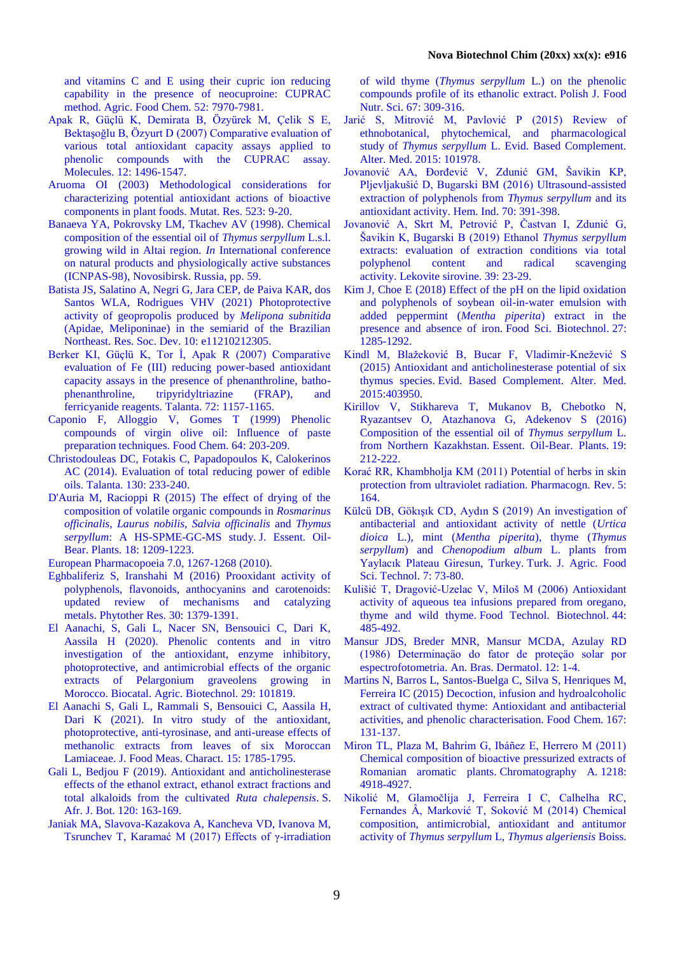<span id="page-8-14"></span>and vitamins C and E using their cupric ion reducing capability in the presence of neocuproine: CUPRAC method. Agric. Food Chem. 52: 7970-7981.

- <span id="page-8-21"></span>Apak R, Güçlü K, Demirata B, Özyürek M, Çelik S E, Bektaşoğlu B, Özyurt D (2007) Comparative evaluation of various total antioxidant capacity assays applied to phenolic compounds with the CUPRAC assay. Molecules. 12: 1496-1547.
- <span id="page-8-18"></span>Aruoma OI (2003) Methodological considerations for characterizing potential antioxidant actions of bioactive components in plant foods. Mutat. Res. 523: 9-20.
- <span id="page-8-13"></span>Banaeva YA, Pokrovsky LM, Tkachev AV (1998). Chemical composition of the essential oil of *Thymus serpyllum* L.s.l. growing wild in Altai region. *In* International conference on natural products and physiologically active substances (ICNPAS-98), Novosibirsk. Russia, pp. 59.
- <span id="page-8-25"></span>Batista JS, Salatino A, Negri G, Jara CEP, de Paiva KAR, dos Santos WLA, Rodrigues VHV (2021) Photoprotective activity of geopropolis produced by *Melipona subnitida* (Apidae, Meliponinae) in the semiarid of the Brazilian Northeast. Res. Soc. Dev. 10: e11210212305.
- <span id="page-8-24"></span>Berker KI, Güçlü K, Tor İ, Apak R (2007) Comparative evaluation of Fe (III) reducing power-based antioxidant capacity assays in the presence of phenanthroline, bathophenanthroline, tripyridyltriazine (FRAP), and ferricyanide reagents. Talanta. 72: 1157-1165.
- <span id="page-8-5"></span>Caponio F, Alloggio V, Gomes T (1999) Phenolic compounds of virgin olive oil: Influence of paste preparation techniques. Food Chem. 64: 203-209.
- Christodouleas DC, Fotakis C, Papadopoulos K, Calokerinos AC (2014). Evaluation of total reducing power of edible oils. Talanta. 130: 233-240.
- <span id="page-8-12"></span>D'Auria M, Racioppi R (2015) The effect of drying of the composition of volatile organic compounds in *Rosmarinus officinalis*, *Laurus nobilis*, *Salvia officinalis* and *Thymus serpyllum*: A HS-SPME-GC-MS study. J. Essent. Oil-Bear. Plants. 18: 1209-1223.

<span id="page-8-10"></span>European Pharmacopoeia 7.0, 1267-1268 (2010).

- <span id="page-8-20"></span>Eghbaliferiz S, Iranshahi M (2016) Prooxidant activity of polyphenols, flavonoids, anthocyanins and carotenoids: updated review of mechanisms and catalyzing metals. Phytother Res. 30: 1379-1391.
- <span id="page-8-6"></span>El Aanachi, S, Gali L, Nacer SN, Bensouici C, Dari K, Aassila H (2020). Phenolic contents and in vitro investigation of the antioxidant, enzyme inhibitory, photoprotective, and antimicrobial effects of the organic extracts of Pelargonium graveolens growing in Morocco. Biocatal. Agric. Biotechnol. 29: 101819.
- <span id="page-8-9"></span>El Aanachi S, Gali L, Rammali S, Bensouici C, Aassila H, Dari K (2021). In vitro study of the antioxidant, photoprotective, anti-tyrosinase, and anti-urease effects of methanolic extracts from leaves of six Moroccan Lamiaceae. J. Food Meas. Charact. 15: 1785-1795.
- <span id="page-8-7"></span>Gali L, Bedjou F (2019). Antioxidant and anticholinesterase effects of the ethanol extract, ethanol extract fractions and total alkaloids from the cultivated *Ruta chalepensis*. S. Afr. J. Bot. 120: 163-169.
- Janiak MA, Slavova-Kazakova A, Kancheva VD, Ivanova M, Tsrunchev T, Karamać M (2017) Effects of γ-irradiation

of wild thyme (*Thymus serpyllum* L.) on the phenolic compounds profile of its ethanolic extract. Polish J. Food Nutr. Sci. 67: 309-316.

- <span id="page-8-3"></span>Jarić S, Mitrović M, Pavlović P (2015) Review of ethnobotanical, phytochemical, and pharmacological study of *Thymus serpyllum* L. Evid. Based Complement. Alter. Med. 2015: 101978.
- <span id="page-8-16"></span>Jovanović AA, Đorđević V, Zdunić GM, Šavikin KP, Pljevljakušić D, Bugarski BM (2016) Ultrasound-assisted extraction of polyphenols from *Thymus serpyllum* and its antioxidant activity. Hem. Ind. 70: 391-398.
- <span id="page-8-17"></span>Jovanović A, Skrt M, Petrović P, Častvan I, Zdunić G, Šavikin K, Bugarski B (2019) Ethanol *Thymus serpyllum* extracts: evaluation of extraction conditions via total polyphenol content and radical scavenging activity. Lekovite sirovine. 39: 23-29.
- <span id="page-8-23"></span>Kim J, Choe E (2018) Effect of the pH on the lipid oxidation and polyphenols of soybean oil-in-water emulsion with added peppermint (*Mentha piperita*) extract in the presence and absence of iron. Food Sci. Biotechnol. 27: 1285-1292.
- <span id="page-8-1"></span>Kindl M, Blažeković B, Bucar F, Vladimir-Knežević S (2015) Antioxidant and anticholinesterase potential of six thymus species. Evid. Based Complement. Alter. Med. 2015:403950.
- <span id="page-8-11"></span>Kirillov V, Stikhareva T, Mukanov B, Chebotko N, Ryazantsev O, Atazhanova G, Adekenov S (2016) Composition of the essential oil of *Thymus serpyllum* L. from Northern Kazakhstan. Essent. Oil-Bear. Plants. 19: 212-222.
- <span id="page-8-2"></span>Korać RR, Khambholja KM (2011) Potential of herbs in skin protection from ultraviolet radiation. Pharmacogn. Rev. 5: 164.
- <span id="page-8-22"></span>Külcü DB, Gökışık CD, Aydın S (2019) An investigation of antibacterial and antioxidant activity of nettle (*Urtica dioica* L.), mint (*Mentha piperita*), thyme (*Thymus serpyllum*) and *Chenopodium album* L. plants from Yaylacık Plateau Giresun, Turkey. Turk. J. Agric. Food Sci. Technol. 7: 73-80.
- <span id="page-8-19"></span>Kulišić T, Dragović-Uzelac V, Miloš M (2006) Antioxidant activity of aqueous tea infusions prepared from oregano, thyme and wild thyme. Food Technol. Biotechnol. 44: 485-492.
- <span id="page-8-8"></span>Mansur JDS, Breder MNR, Mansur MCDA, Azulay RD (1986) Determinaçäo do fator de proteçäo solar por espectrofotometria. An. Bras. Dermatol. 12: 1-4.
- <span id="page-8-0"></span>Martins N, Barros L, Santos-Buelga C, Silva S, Henriques M, Ferreira IC (2015) Decoction, infusion and hydroalcoholic extract of cultivated thyme: Antioxidant and antibacterial activities, and phenolic characterisation. Food Chem. 167: 131-137.
- <span id="page-8-15"></span>Miron TL, Plaza M, Bahrim G, Ibáñez E, Herrero M (2011) Chemical composition of bioactive pressurized extracts of Romanian aromatic plants. Chromatography A. 1218: 4918-4927.
- <span id="page-8-4"></span>Nikolić M, Glamočlija J, Ferreira I C, Calhelha RC, Fernandes Â, Marković T, Soković M (2014) Chemical composition, antimicrobial, antioxidant and antitumor activity of *Thymus serpyllum* L, *Thymus algeriensis* Boiss.